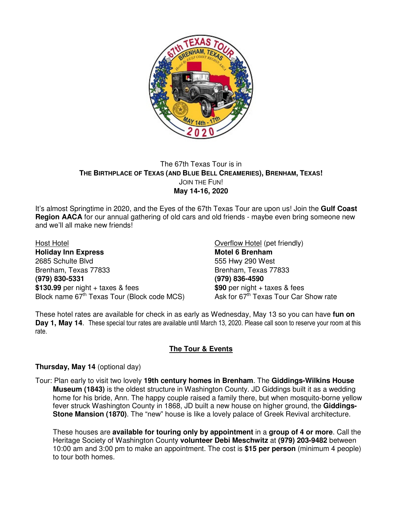

## The 67th Texas Tour is in **THE BIRTHPLACE OF TEXAS (AND BLUE BELL CREAMERIES), BRENHAM, TEXAS!**  JOIN THE FUN! **May 14-16, 2020**

It's almost Springtime in 2020, and the Eyes of the 67th Texas Tour are upon us! Join the **Gulf Coast Region AACA** for our annual gathering of old cars and old friends - maybe even bring someone new and we'll all make new friends!

Host Hotel Overflow Hotel (pet friendly) **Holiday Inn Express Motel 6 Brenham** 2685 Schulte Blvd 555 Hwy 290 West Brenham, Texas 77833 Brenham, Texas 77833 **(979) 830-5331 (979) 836-4590** \$130.99 per night + taxes & fees **\$90** per night + taxes & fees **\$90** per night + taxes & fees **Block name 67<sup>th</sup>** Texas Tour Car Show rate Block name 67<sup>th</sup> Texas Tour (Block code MCS)

These hotel rates are available for check in as early as Wednesday, May 13 so you can have **fun on Day 1, May 14**. These special tour rates are available until March 13, 2020. Please call soon to reserve your room at this rate.

## **The Tour & Events**

## **Thursday, May 14** (optional day)

Tour: Plan early to visit two lovely **19th century homes in Brenham**. The **Giddings-Wilkins House Museum (1843)** is the oldest structure in Washington County. JD Giddings built it as a wedding home for his bride, Ann. The happy couple raised a family there, but when mosquito-borne yellow fever struck Washington County in 1868, JD built a new house on higher ground, the **Giddings-Stone Mansion (1870)**. The "new" house is like a lovely palace of Greek Revival architecture.

These houses are **available for touring only by appointment** in a **group of 4 or more**. Call the Heritage Society of Washington County **volunteer Debi Meschwitz** at **(979) 203-9482** between 10:00 am and 3:00 pm to make an appointment. The cost is **\$15 per person** (minimum 4 people) to tour both homes.